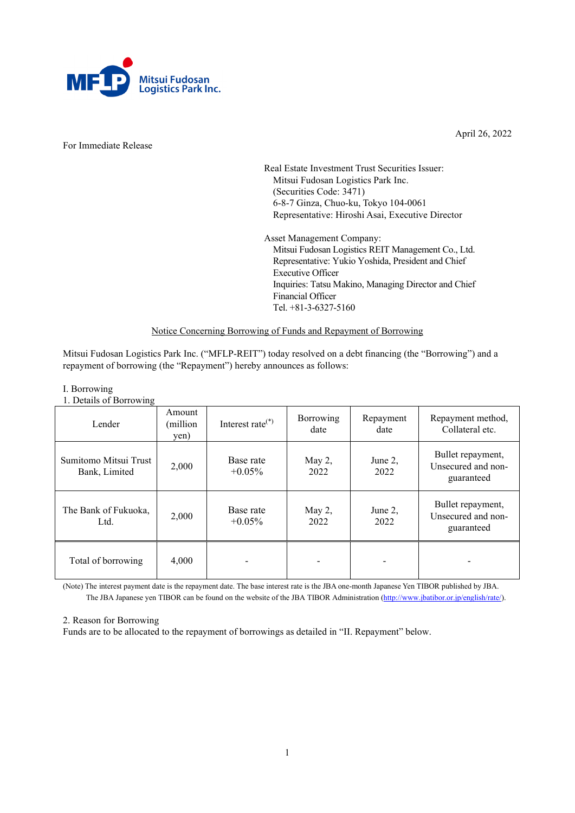

For Immediate Release

April 26, 2022

Real Estate Investment Trust Securities Issuer: Mitsui Fudosan Logistics Park Inc. (Securities Code: 3471) 6-8-7 Ginza, Chuo-ku, Tokyo 104-0061 Representative: Hiroshi Asai, Executive Director

Asset Management Company: Mitsui Fudosan Logistics REIT Management Co., Ltd. Representative: Yukio Yoshida, President and Chief Executive Officer Inquiries: Tatsu Makino, Managing Director and Chief Financial Officer Tel. +81-3-6327-5160

# Notice Concerning Borrowing of Funds and Repayment of Borrowing

Mitsui Fudosan Logistics Park Inc. ("MFLP-REIT") today resolved on a debt financing (the "Borrowing") and a repayment of borrowing (the "Repayment") hereby announces as follows:

# I. Borrowing

1. Details of Borrowing

| Lender                                 | Amount<br>(million)<br>yen) | Interest rate $(*)$    | Borrowing<br>date | Repayment<br>date | Repayment method,<br>Collateral etc.                  |
|----------------------------------------|-----------------------------|------------------------|-------------------|-------------------|-------------------------------------------------------|
| Sumitomo Mitsui Trust<br>Bank, Limited | 2,000                       | Base rate<br>$+0.05\%$ | May 2,<br>2022    | June 2,<br>2022   | Bullet repayment,<br>Unsecured and non-<br>guaranteed |
| The Bank of Fukuoka,<br>Ltd.           | 2,000                       | Base rate<br>$+0.05\%$ | May 2,<br>2022    | June 2,<br>2022   | Bullet repayment,<br>Unsecured and non-<br>guaranteed |
| Total of borrowing                     | 4,000                       |                        |                   |                   |                                                       |

(Note) The interest payment date is the repayment date. The base interest rate is the JBA one-month Japanese Yen TIBOR published by JBA. The JBA Japanese yen TIBOR can be found on the website of the JBA TIBOR Administration [\(http://www.jbatibor.or.jp/english/rate/\)](http://www.jbatibor.or.jp/english/rate/).

#### 2. Reason for Borrowing

Funds are to be allocated to the repayment of borrowings as detailed in "II. Repayment" below.